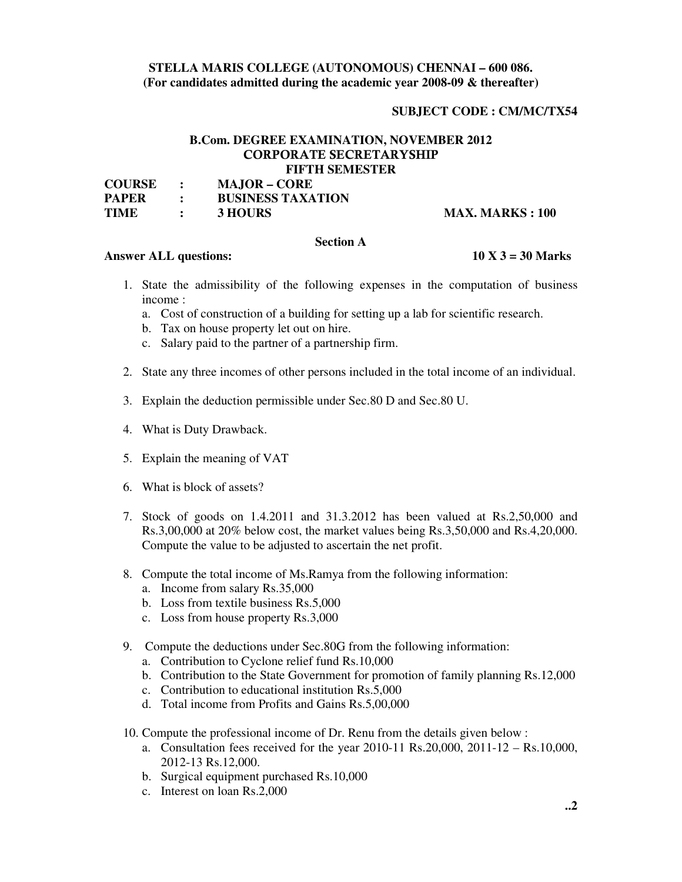# **STELLA MARIS COLLEGE (AUTONOMOUS) CHENNAI – 600 086. (For candidates admitted during the academic year 2008-09 & thereafter)**

# **SUBJECT CODE : CM/MC/TX54**

# **B.Com. DEGREE EXAMINATION, NOVEMBER 2012 CORPORATE SECRETARYSHIP FIFTH SEMESTER**

| <b>COURSE</b> | $\sim$ $\sim$                           | <b>MAJOR – CORE</b>      |                         |
|---------------|-----------------------------------------|--------------------------|-------------------------|
| <b>PAPER</b>  | $\mathcal{L} = \mathcal{L} \mathcal{L}$ | <b>BUSINESS TAXATION</b> |                         |
| <b>TIME</b>   |                                         | 3 HOURS                  | <b>MAX. MARKS : 100</b> |

# **Section A**

# **Answer ALL questions: 10 X 3 = 30 Marks**

- 1. State the admissibility of the following expenses in the computation of business income :
	- a. Cost of construction of a building for setting up a lab for scientific research.
	- b. Tax on house property let out on hire.
	- c. Salary paid to the partner of a partnership firm.
- 2. State any three incomes of other persons included in the total income of an individual.
- 3. Explain the deduction permissible under Sec.80 D and Sec.80 U.
- 4. What is Duty Drawback.
- 5. Explain the meaning of VAT
- 6. What is block of assets?
- 7. Stock of goods on 1.4.2011 and 31.3.2012 has been valued at Rs.2,50,000 and Rs.3,00,000 at 20% below cost, the market values being Rs.3,50,000 and Rs.4,20,000. Compute the value to be adjusted to ascertain the net profit.
- 8. Compute the total income of Ms.Ramya from the following information:
	- a. Income from salary Rs.35,000
	- b. Loss from textile business Rs.5,000
	- c. Loss from house property Rs.3,000
- 9. Compute the deductions under Sec.80G from the following information:
	- a. Contribution to Cyclone relief fund Rs.10,000
	- b. Contribution to the State Government for promotion of family planning Rs.12,000
	- c. Contribution to educational institution Rs.5,000
	- d. Total income from Profits and Gains Rs.5,00,000
- 10. Compute the professional income of Dr. Renu from the details given below :
	- a. Consultation fees received for the year 2010-11 Rs.20,000, 2011-12 Rs.10,000, 2012-13 Rs.12,000.
	- b. Surgical equipment purchased Rs.10,000
	- c. Interest on loan Rs.2,000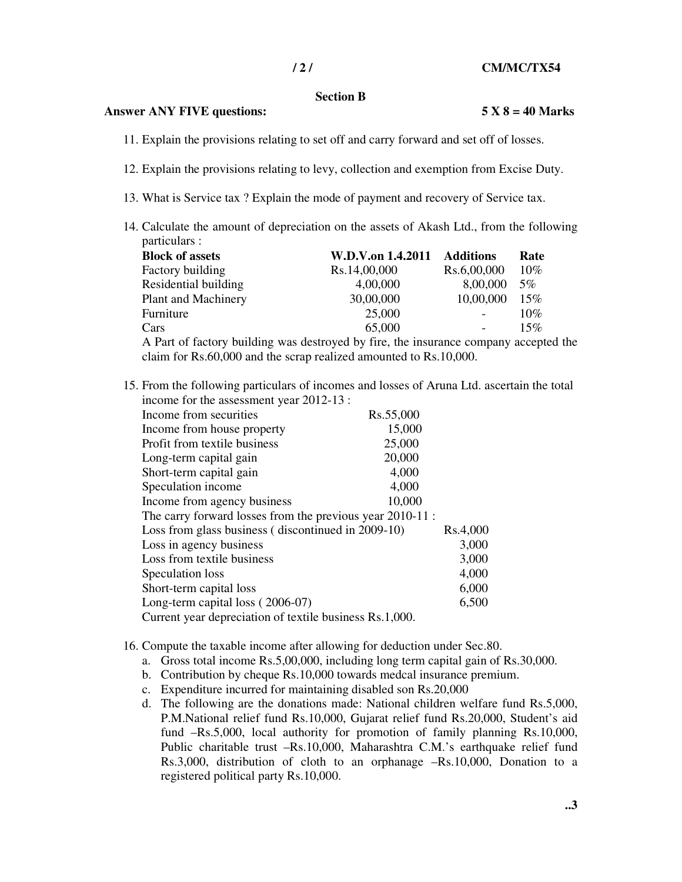#### **Section B**

# **Answer ANY FIVE questions: 5 X 8 = 40 Marks**

- 
- 11. Explain the provisions relating to set off and carry forward and set off of losses.
- 12. Explain the provisions relating to levy, collection and exemption from Excise Duty.
- 13. What is Service tax ? Explain the mode of payment and recovery of Service tax.
- 14. Calculate the amount of depreciation on the assets of Akash Ltd., from the following particulars :

| <b>Block of assets</b>     | W.D.V.on 1.4.2011 Additions |               | Rate   |
|----------------------------|-----------------------------|---------------|--------|
| Factory building           | Rs.14,00,000                | Rs.6,00,000   | $10\%$ |
| Residential building       | 4,00,000                    | 8,00,000      | $5\%$  |
| <b>Plant and Machinery</b> | 30,00,000                   | 10,00,000 15% |        |
| Furniture                  | 25,000                      |               | 10%    |
| Cars                       | 65,000                      | $\sim 100$    | 15%    |
|                            |                             |               |        |

A Part of factory building was destroyed by fire, the insurance company accepted the claim for Rs.60,000 and the scrap realized amounted to Rs.10,000.

15. From the following particulars of incomes and losses of Aruna Ltd. ascertain the total income for the assessment year 2012-13 :

| Income from securities                                    | Rs.55,000 |          |
|-----------------------------------------------------------|-----------|----------|
| Income from house property                                | 15,000    |          |
| Profit from textile business                              | 25,000    |          |
| Long-term capital gain                                    | 20,000    |          |
| Short-term capital gain                                   | 4,000     |          |
| Speculation income                                        | 4,000     |          |
| Income from agency business                               | 10,000    |          |
| The carry forward losses from the previous year 2010-11 : |           |          |
| Loss from glass business (discontinued in 2009-10)        |           | Rs.4,000 |
| Loss in agency business                                   |           | 3,000    |
| Loss from textile business                                |           | 3,000    |
| Speculation loss                                          |           | 4,000    |
| Short-term capital loss                                   |           | 6,000    |
| Long-term capital loss (2006-07)                          |           | 6,500    |
| Current year depreciation of textile business Rs.1,000.   |           |          |

- 16. Compute the taxable income after allowing for deduction under Sec.80.
	- a. Gross total income Rs.5,00,000, including long term capital gain of Rs.30,000.
	- b. Contribution by cheque Rs.10,000 towards medcal insurance premium.
	- c. Expenditure incurred for maintaining disabled son Rs.20,000
	- d. The following are the donations made: National children welfare fund Rs.5,000, P.M.National relief fund Rs.10,000, Gujarat relief fund Rs.20,000, Student's aid fund –Rs.5,000, local authority for promotion of family planning Rs.10,000, Public charitable trust –Rs.10,000, Maharashtra C.M.'s earthquake relief fund Rs.3,000, distribution of cloth to an orphanage –Rs.10,000, Donation to a registered political party Rs.10,000.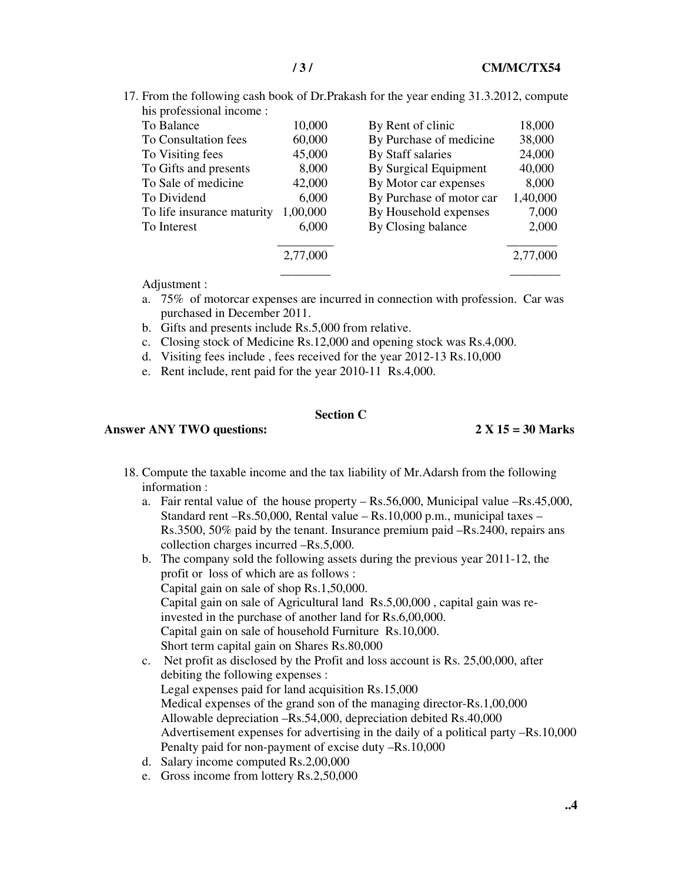17. From the following cash book of Dr.Prakash for the year ending 31.3.2012, compute his professional income :

| ins professional income.   |          |                          |          |
|----------------------------|----------|--------------------------|----------|
| To Balance                 | 10,000   | By Rent of clinic        | 18,000   |
| To Consultation fees       | 60,000   | By Purchase of medicine  | 38,000   |
| To Visiting fees           | 45,000   | By Staff salaries        | 24,000   |
| To Gifts and presents      | 8,000    | By Surgical Equipment    | 40,000   |
| To Sale of medicine        | 42,000   | By Motor car expenses    | 8,000    |
| To Dividend                | 6,000    | By Purchase of motor car | 1,40,000 |
| To life insurance maturity | 1,00,000 | By Household expenses    | 7,000    |
| To Interest                | 6,000    | By Closing balance       | 2,000    |
|                            |          |                          |          |
|                            | 2,77,000 |                          | 2,77,000 |
|                            |          |                          |          |

Adjustment :

- a. 75% of motorcar expenses are incurred in connection with profession. Car was purchased in December 2011.
- b. Gifts and presents include Rs.5,000 from relative.
- c. Closing stock of Medicine Rs.12,000 and opening stock was Rs.4,000.
- d. Visiting fees include , fees received for the year 2012-13 Rs.10,000
- e. Rent include, rent paid for the year 2010-11 Rs.4,000.

### **Section C**

# **Answer ANY TWO questions: 2 X 15 = 30 Marks**

- 18. Compute the taxable income and the tax liability of Mr.Adarsh from the following information :
	- a. Fair rental value of the house property Rs.56,000, Municipal value –Rs.45,000, Standard rent –Rs.50,000, Rental value – Rs.10,000 p.m., municipal taxes – Rs.3500, 50% paid by the tenant. Insurance premium paid –Rs.2400, repairs ans collection charges incurred –Rs.5,000.
	- b. The company sold the following assets during the previous year 2011-12, the profit or loss of which are as follows : Capital gain on sale of shop Rs.1,50,000. Capital gain on sale of Agricultural land Rs.5,00,000 , capital gain was reinvested in the purchase of another land for Rs.6,00,000. Capital gain on sale of household Furniture Rs.10,000. Short term capital gain on Shares Rs.80,000
	- c. Net profit as disclosed by the Profit and loss account is Rs. 25,00,000, after debiting the following expenses : Legal expenses paid for land acquisition Rs.15,000 Medical expenses of the grand son of the managing director-Rs.1,00,000 Allowable depreciation –Rs.54,000, depreciation debited Rs.40,000 Advertisement expenses for advertising in the daily of a political party –Rs.10,000 Penalty paid for non-payment of excise duty –Rs.10,000
	- d. Salary income computed Rs.2,00,000
	- e. Gross income from lottery Rs.2,50,000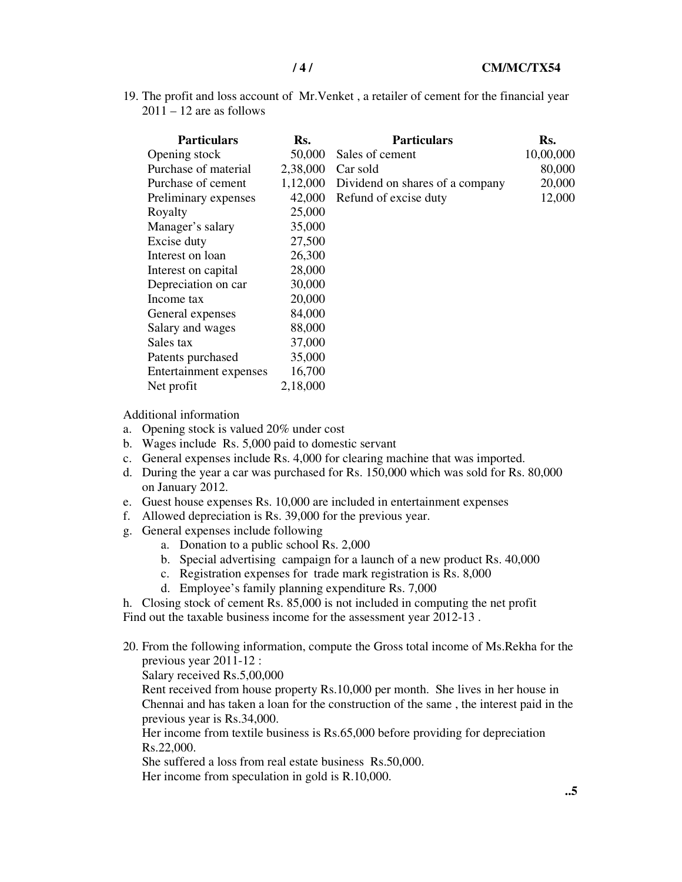19. The profit and loss account of Mr.Venket , a retailer of cement for the financial year  $2011 - 12$  are as follows

| <b>Particulars</b>     | Rs.      | <b>Particulars</b>              | Rs.       |
|------------------------|----------|---------------------------------|-----------|
| Opening stock          | 50,000   | Sales of cement                 | 10,00,000 |
| Purchase of material   | 2,38,000 | Car sold                        | 80,000    |
| Purchase of cement     | 1,12,000 | Dividend on shares of a company | 20,000    |
| Preliminary expenses   | 42,000   | Refund of excise duty           | 12,000    |
| Royalty                | 25,000   |                                 |           |
| Manager's salary       | 35,000   |                                 |           |
| Excise duty            | 27,500   |                                 |           |
| Interest on loan       | 26,300   |                                 |           |
| Interest on capital    | 28,000   |                                 |           |
| Depreciation on car    | 30,000   |                                 |           |
| Income tax             | 20,000   |                                 |           |
| General expenses       | 84,000   |                                 |           |
| Salary and wages       | 88,000   |                                 |           |
| Sales tax              | 37,000   |                                 |           |
| Patents purchased      | 35,000   |                                 |           |
| Entertainment expenses | 16,700   |                                 |           |
| Net profit             | 2,18,000 |                                 |           |

Additional information

- a. Opening stock is valued 20% under cost
- b. Wages include Rs. 5,000 paid to domestic servant
- c. General expenses include Rs. 4,000 for clearing machine that was imported.
- d. During the year a car was purchased for Rs. 150,000 which was sold for Rs. 80,000 on January 2012.
- e. Guest house expenses Rs. 10,000 are included in entertainment expenses
- f. Allowed depreciation is Rs. 39,000 for the previous year.
- g. General expenses include following
	- a. Donation to a public school Rs. 2,000
	- b. Special advertising campaign for a launch of a new product Rs. 40,000
	- c. Registration expenses for trade mark registration is Rs. 8,000
	- d. Employee's family planning expenditure Rs. 7,000

h. Closing stock of cement Rs. 85,000 is not included in computing the net profit Find out the taxable business income for the assessment year 2012-13 .

20. From the following information, compute the Gross total income of Ms.Rekha for the previous year 2011-12 :

Salary received Rs.5,00,000

Rent received from house property Rs.10,000 per month. She lives in her house in Chennai and has taken a loan for the construction of the same , the interest paid in the previous year is Rs.34,000.

Her income from textile business is Rs.65,000 before providing for depreciation Rs.22,000.

She suffered a loss from real estate business Rs.50,000.

Her income from speculation in gold is R.10,000.